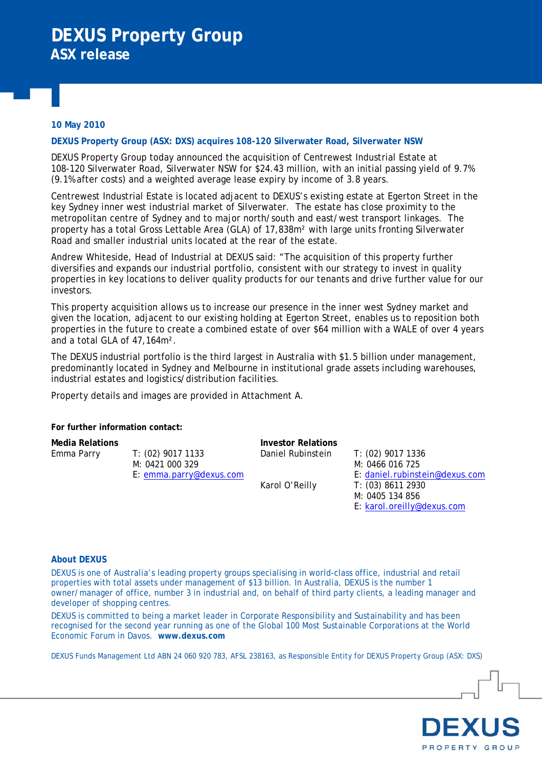### **10 May 2010**

#### **DEXUS Property Group (ASX: DXS) acquires 108-120 Silverwater Road, Silverwater NSW**

DEXUS Property Group today announced the acquisition of Centrewest Industrial Estate at 108-120 Silverwater Road, Silverwater NSW for \$24.43 million, with an initial passing yield of 9 .7% (9.1% after costs) and a weighted average lease expiry by income of 3.8 yea rs.

Road and smaller industrial units located at the rear of the estate. Centrewest Industrial Estate is located adjacent to DEXUS's existing estate at Egerton Street in the key Sydney inner west industrial market of Silverwater. The estate has close proximity to the metropolitan centre of Sydney and to major north/south and east/west transport linkages. The property has a total Gross Lettable Area (GLA) of 17,838m² with large units fronting Silverwater

properties in key locations to deliver quality products for our tenants and drive further value for our Andrew Whiteside, Head of Industrial at DEXUS said: "The acquisition of this property further diversifies and expands our industrial portfolio, consistent with our strategy to invest in quality investors.

properties in the future to create a combined estate of over \$64 million with a WALE of over 4 years This property acquisition allows us to increase our presence in the inner west Sydney market and given the location, adjacent to our existing holding at Egerton Street, enables us to reposition both and a total GLA of 47,164m².

The DEXUS industrial portfolio is the third largest in Australia with \$1.5 billion under management, predominantly located in Sydney and Melbourne in institutional grade assets including warehouses, industrial estates and logistics/distribution facilities.

Property details and images are provided in Attachment A.

For further information contact:

Emma Parry

M: 0421 000 329 E: emma.parry@dexus.com T: (02) 9017 1133

**Media Relations Investor Relations**  Daniel Rubinstein

Karol O'Reilly

E: daniel.rubinstein@dexus.com T: (02) 9017 1336 M: 0466 016 725 M: 0405 134 856 E: karol.oreilly@dexus.com T: (03) 8611 2930

### **About DEXUS**

properties with total assets under management of \$13 billion. In Australia, DEXUS is the number 1 owner/manager of office, number 3 in industrial and, on behalf of third party clients, a leading manager and DEXUS is one of Australia's leading property groups specialising in world-class office, industrial and retail developer of shopping centres.

DEXUS is committed to being a market leader in Corporate Responsibility and Sustainability and has been recognised for the second year running as one of the Global 100 Most Sustainable Corporations at the World Economic Forum in Davos. **www.dexus.com**

DEXUS Funds Management Ltd ABN 24 060 920 783, AFSL 238163, as Responsible Entity for DEXUS Property Group (ASX: DXS)

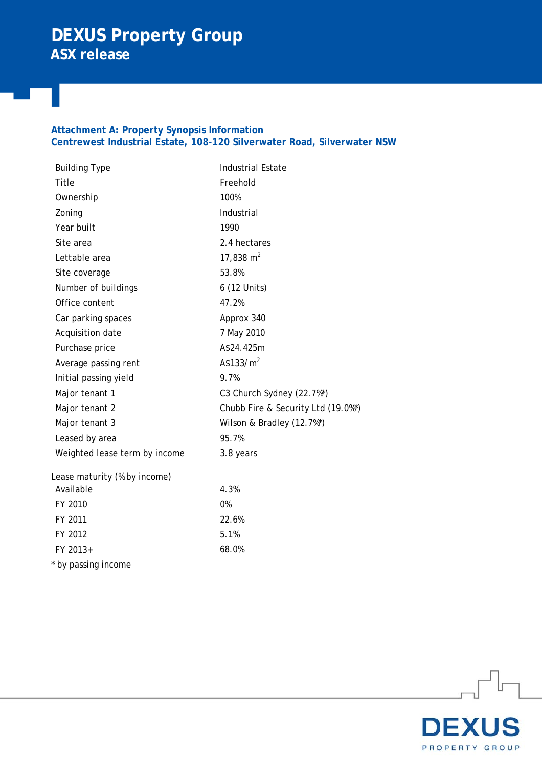# **DEXUS Property Group ASX release**

### **Attachment A: Property Synopsis Information Centrewest Industrial Estate, 108-120 Silverwater Road, Silverwater NSW**

| <b>Building Type</b>          | <b>Industrial Estate</b>           |
|-------------------------------|------------------------------------|
| Title                         | Freehold                           |
| Ownership                     | 100%                               |
| Zoning                        | Industrial                         |
| Year built                    | 1990                               |
| Site area                     | 2.4 hectares                       |
| Lettable area                 | 17,838 $m2$                        |
| Site coverage                 | 53.8%                              |
| Number of buildings           | 6 (12 Units)                       |
| Office content                | 47.2%                              |
| Car parking spaces            | Approx 340                         |
| Acquisition date              | 7 May 2010                         |
| Purchase price                | A\$24.425m                         |
| Average passing rent          | A\$133/m <sup>2</sup>              |
| Initial passing yield         | 9.7%                               |
| Major tenant 1                | C3 Church Sydney (22.7%*)          |
| Major tenant 2                | Chubb Fire & Security Ltd (19.0%*) |
| Major tenant 3                | Wilson & Bradley (12.7%*)          |
| Leased by area                | 95.7%                              |
| Weighted lease term by income | 3.8 years                          |
| Lease maturity (% by income)  |                                    |
| Available                     | 4.3%                               |
| FY 2010                       | 0%                                 |
| FY 2011                       | 22.6%                              |
| FY 2012                       | 5.1%                               |
| FY 2013+                      | 68.0%                              |
| * by passing income           |                                    |